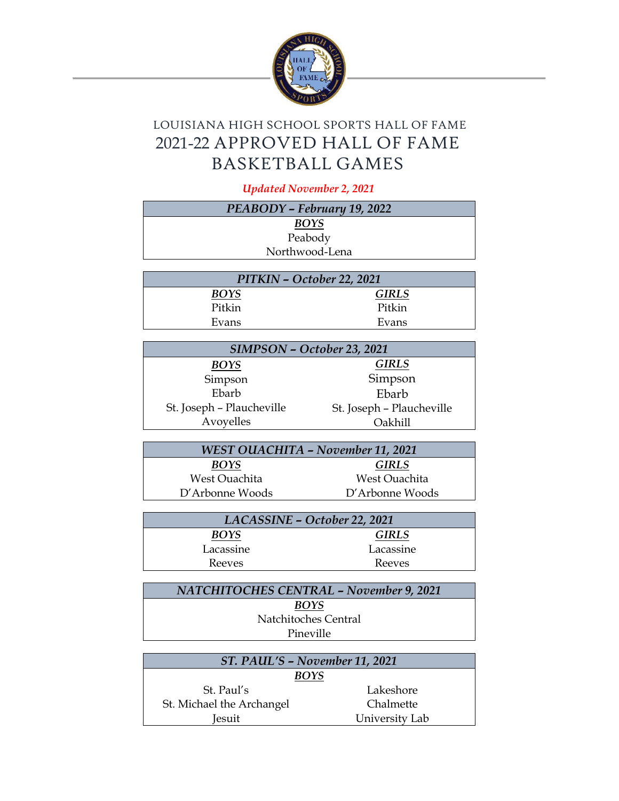

## LOUISIANA HIGH SCHOOL SPORTS HALL OF FAME 2021-22 APPROVED HALL OF FAME BASKETBALL GAMES

*Updated November 2, 2021*

| PEABODY - February 19, 2022       |                           |  |
|-----------------------------------|---------------------------|--|
| <b>BOYS</b>                       |                           |  |
| Peabody                           |                           |  |
| Northwood-Lena                    |                           |  |
|                                   |                           |  |
| PITKIN - October 22, 2021         |                           |  |
| BOYS                              | GIRLS                     |  |
| Pitkin                            | Pitkin                    |  |
| Evans                             | Evans                     |  |
|                                   |                           |  |
| SIMPSON - October 23, 2021        |                           |  |
| <b>BOYS</b>                       | <b>GIRLS</b>              |  |
| Simpson                           | Simpson                   |  |
| Ebarb                             | Ebarb                     |  |
| St. Joseph - Plaucheville         | St. Joseph - Plaucheville |  |
| Avoyelles                         | Oakhill                   |  |
|                                   |                           |  |
| WEST OUACHITA – November 11, 2021 |                           |  |
| <b>BOYS</b>                       | <b>GIRLS</b>              |  |
| <b>West Ouachita</b>              | <b>West Ouachita</b>      |  |
| D'Arbonne Woods                   | D'Arbonne Woods           |  |
|                                   |                           |  |
| LACASSINE - October 22, 2021      |                           |  |
| <b>BOYS</b>                       | <b>GIRLS</b>              |  |
| Lacassine                         | Lacassine                 |  |
| Reeves                            | Reeves                    |  |

| <b>NATCHITOCHES CENTRAL - November 9, 2021</b> |  |
|------------------------------------------------|--|
| <b>BOYS</b>                                    |  |
| Natchitoches Central                           |  |
| Pineville                                      |  |

| ST. PAUL'S - November 11, 2021 |                |  |
|--------------------------------|----------------|--|
| <b>BOYS</b>                    |                |  |
| St. Paul's                     | Lakeshore      |  |
| St. Michael the Archangel      | Chalmette      |  |
| <b>Iesuit</b>                  | University Lab |  |
|                                |                |  |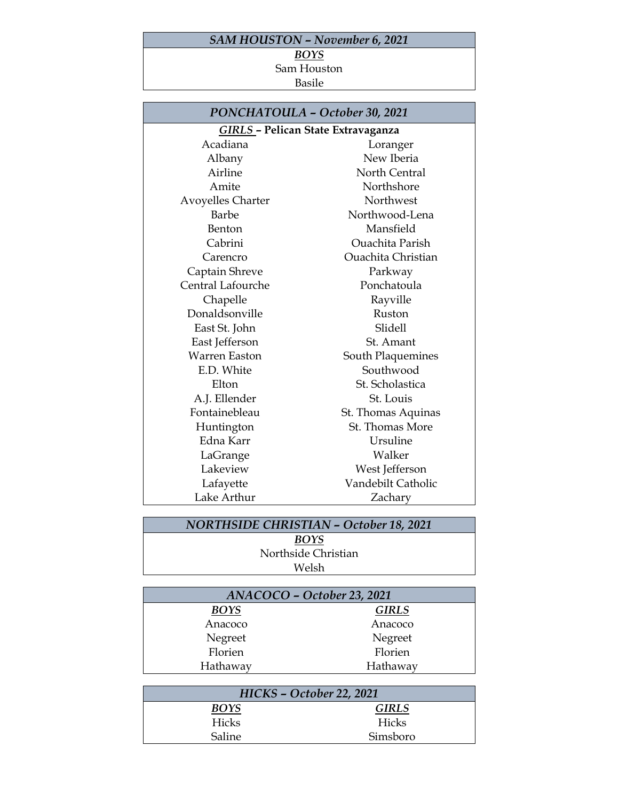## *SAM HOUSTON – November 6, 2021*

## *BOYS*

Sam Houston Basile

| PONCHATOULA - October 30, 2021 |                                    |  |  |
|--------------------------------|------------------------------------|--|--|
|                                | GIRLS - Pelican State Extravaganza |  |  |
| Acadiana                       | Loranger                           |  |  |
| Albany                         | New Iberia                         |  |  |
| Airline                        | North Central                      |  |  |
| Amite                          | Northshore                         |  |  |
| Avoyelles Charter              | Northwest                          |  |  |
| Barbe                          | Northwood-Lena                     |  |  |
| Benton                         | Mansfield                          |  |  |
| Cabrini                        | <b>Ouachita Parish</b>             |  |  |
| Carencro                       | <b>Ouachita Christian</b>          |  |  |
| Captain Shreve                 | Parkway                            |  |  |
| Central Lafourche              | Ponchatoula                        |  |  |
| Chapelle                       | Rayville                           |  |  |
| Donaldsonville                 | Ruston                             |  |  |
| East St. John                  | Slidell                            |  |  |
| East Jefferson                 | St. Amant                          |  |  |
| <b>Warren Easton</b>           | South Plaquemines                  |  |  |
| E.D. White                     | Southwood                          |  |  |
| Elton                          | St. Scholastica                    |  |  |
| A.J. Ellender                  | St. Louis                          |  |  |
| Fontainebleau                  | St. Thomas Aquinas                 |  |  |
| Huntington                     | St. Thomas More                    |  |  |
| Edna Karr                      | Ursuline                           |  |  |
| LaGrange                       | Walker                             |  |  |
| Lakeview                       | West Jefferson                     |  |  |
| Lafayette                      | Vandebilt Catholic                 |  |  |
| Lake Arthur                    | Zacharv                            |  |  |

## *NORTHSIDE CHRISTIAN – October 18, 2021 BOYS*

Northside Christian Welsh

| ANACOCO - October 23, 2021 |              |
|----------------------------|--------------|
| BOYS                       | <b>GIRLS</b> |
| Anacoco                    | Anacoco      |
| Negreet                    | Negreet      |
| Florien                    | Florien      |
| Hathaway                   | Hathaway     |
|                            |              |

| HICKS - October 22, 2021 |              |
|--------------------------|--------------|
| <b>BOYS</b>              | <b>GIRLS</b> |
| Hicks                    | <b>Hicks</b> |
| Saline                   | Simsboro     |
|                          |              |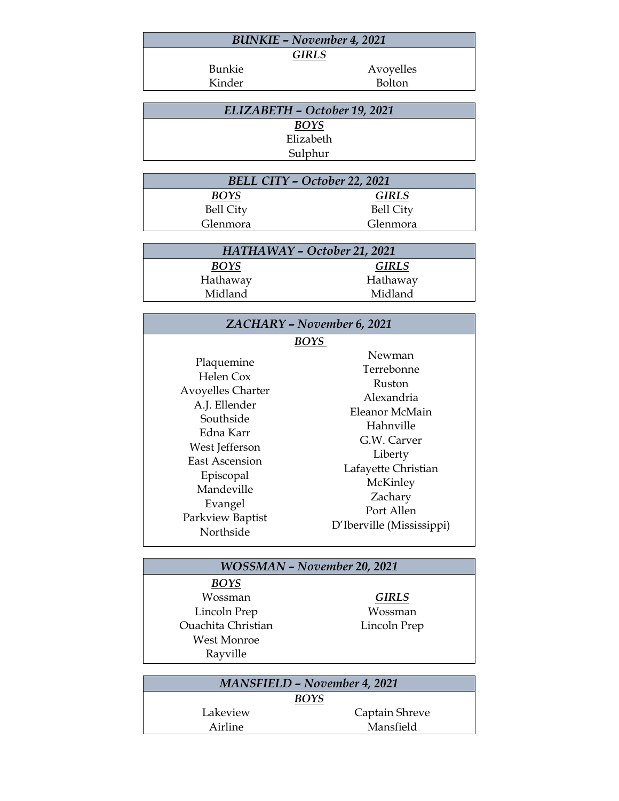| <b>BUNKIE - November 4, 2021</b> |           |  |
|----------------------------------|-----------|--|
| <b>GIRLS</b>                     |           |  |
| <b>Bunkie</b>                    | Avoyelles |  |
| Kinder                           | Bolton    |  |

| ELIZABETH - October 19, 2021 |  |
|------------------------------|--|
| <b>BOYS</b>                  |  |
| Elizabeth                    |  |
| Sulphur                      |  |

| BELL CITY - October 22, 2021 |                  |
|------------------------------|------------------|
| <b>BOYS</b>                  | <b>GIRLS</b>     |
| <b>Bell City</b>             | <b>Bell City</b> |
| Glenmora                     | Glenmora         |

| HATHAWAY - October 21, 2021 |              |
|-----------------------------|--------------|
| <b>BOYS</b>                 | <b>GIRLS</b> |
| Hathaway                    | Hathaway     |
| Midland                     | Midland      |

| <b>ZACHARY - November 6, 2021</b>                                                                                                                                                                                |                                                                                                                                                                                                        |
|------------------------------------------------------------------------------------------------------------------------------------------------------------------------------------------------------------------|--------------------------------------------------------------------------------------------------------------------------------------------------------------------------------------------------------|
| Plaquemine<br>Helen Cox<br><b>Avoyelles Charter</b><br>A.J. Ellender<br>Southside<br>Edna Karr<br>West Jefferson<br><b>East Ascension</b><br>Episcopal<br>Mandeville<br>Evangel<br>Parkview Baptist<br>Northside | BOYS<br>Newman<br>Terrebonne<br>Ruston<br>Alexandria<br>Eleanor McMain<br>Hahnville<br>G.W. Carver<br>Liberty<br>Lafayette Christian<br>McKinley<br>Zachary<br>Port Allen<br>D'Iberville (Mississippi) |

| <b>WOSSMAN - November 20, 2021</b>  |              |  |
|-------------------------------------|--------------|--|
| <b>BOYS</b>                         |              |  |
| Wossman                             | <b>GIRLS</b> |  |
| Lincoln Prep                        | Wossman      |  |
| <b>Ouachita Christian</b>           | Lincoln Prep |  |
| West Monroe                         |              |  |
| Rayville                            |              |  |
|                                     |              |  |
| <b>MANSFIELD - November 4, 2021</b> |              |  |
|                                     |              |  |

| <b>MANSFIELD - November 4, 2021</b><br><b>BOYS</b> |           |
|----------------------------------------------------|-----------|
|                                                    |           |
| Airline                                            | Mansfield |